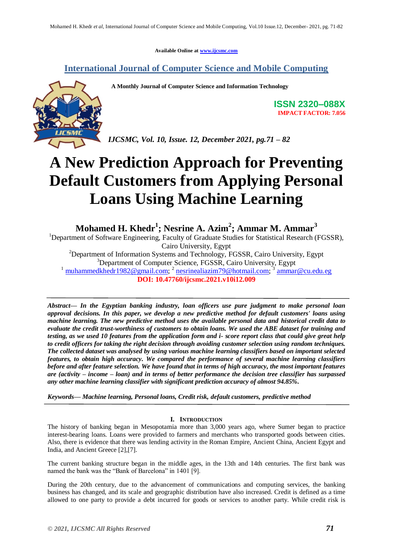**Available Online at www.ijcsmc.com**

### **International Journal of Computer Science and Mobile Computing**

 **A Monthly Journal of Computer Science and Information Technology**



**ISSN 2320–088X IMPACT FACTOR: 7.056**

*IJCSMC, Vol. 10, Issue. 12, December 2021, pg.71 – 82*

# **A New Prediction Approach for Preventing Default Customers from Applying Personal Loans Using Machine Learning**

**Mohamed H. Khedr<sup>1</sup> ; Nesrine A. Azim<sup>2</sup> ; Ammar M. Ammar<sup>3</sup>**

<sup>1</sup>Department of Software Engineering, Faculty of Graduate Studies for Statistical Research (FGSSR), Cairo University, Egypt <sup>2</sup>Department of Information Systems and Technology, FGSSR, Cairo University, Egypt <sup>3</sup>Department of Computer Science, FGSSR, Cairo University, Egypt

<sup>1</sup> muhammedkhedr 1982@gmail.com; <sup>2</sup> nesrinealiazim 79@hotmail.com; <sup>3</sup> ammar@cu.edu.eg **DOI: 10.47760/ijcsmc.2021.v10i12.009**

*Abstract— In the Egyptian banking industry, loan officers use pure judgment to make personal loan approval decisions. In this paper, we develop a new predictive method for default customers' loans using machine learning. The new predictive method uses the available personal data and historical credit data to evaluate the credit trust-worthiness of customers to obtain loans. We used the ABE dataset for training and testing, as we used 10 features from the application form and i- score report class that could give great help to credit officers for taking the right decision through avoiding customer selection using random techniques. The collected dataset was analysed by using various machine learning classifiers based on important selected features, to obtain high accuracy. We compared the performance of several machine learning classifiers before and after feature selection. We have found that in terms of high accuracy, the most important features are (activity – income – loan) and in terms of better performance the decision tree classifier has surpassed any other machine learning classifier with significant prediction accuracy of almost 94.85%.*

*Keywords— Machine learning, Personal loans, Credit risk, default customers, predictive method*

#### **I. INTRODUCTION**

The history of banking began in Mesopotamia more than 3,000 years ago, where Sumer began to practice interest-bearing loans. Loans were provided to farmers and merchants who transported goods between cities. Also, there is evidence that there was lending activity in the Roman Empire, Ancient China, Ancient Egypt and India, and Ancient Greece [2],[7].

The current banking structure began in the middle ages, in the 13th and 14th centuries. The first bank was named the bank was the "Bank of Barcelona" in 1401 [9].

During the 20th century, due to the advancement of communications and computing services, the banking business has changed, and its scale and geographic distribution have also increased. Credit is defined as a time allowed to one party to provide a debt incurred for goods or services to another party. While credit risk is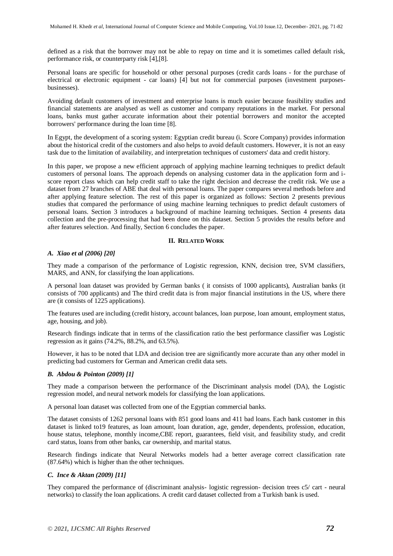defined as a risk that the borrower may not be able to repay on time and it is sometimes called default risk, performance risk, or counterparty risk [4],[8].

Personal loans are specific for household or other personal purposes (credit cards loans - for the purchase of electrical or electronic equipment - car loans) [4] but not for commercial purposes (investment purposesbusinesses).

Avoiding default customers of investment and enterprise loans is much easier because feasibility studies and financial statements are analysed as well as customer and company reputations in the market. For personal loans, banks must gather accurate information about their potential borrowers and monitor the accepted borrowers' performance during the loan time [8].

In Egypt, the development of a scoring system: Egyptian credit bureau (i. Score Company) provides information about the historical credit of the customers and also helps to avoid default customers. However, it is not an easy task due to the limitation of availability, and interpretation techniques of customers' data and credit history.

In this paper, we propose a new efficient approach of applying machine learning techniques to predict default customers of personal loans. The approach depends on analysing customer data in the application form and iscore report class which can help credit staff to take the right decision and decrease the credit risk. We use a dataset from 27 branches of ABE that deal with personal loans. The paper compares several methods before and after applying feature selection. The rest of this paper is organized as follows: Section 2 presents previous studies that compared the performance of using machine learning techniques to predict default customers of personal loans. Section 3 introduces a background of machine learning techniques. Section 4 presents data collection and the pre-processing that had been done on this dataset. Section 5 provides the results before and after features selection. And finally, Section 6 concludes the paper.

#### **II. RELATED WORK**

#### *A. Xiao et al (2006) [20]*

They made a comparison of the performance of Logistic regression, KNN, decision tree, SVM classifiers, MARS, and ANN, for classifying the loan applications.

A personal loan dataset was provided by German banks ( it consists of 1000 applicants), Australian banks (it consists of 700 applicants) and The third credit data is from major financial institutions in the US, where there are (it consists of 1225 applications).

The features used are including (credit history, account balances, loan purpose, loan amount, employment status, age, housing, and job).

Research findings indicate that in terms of the classification ratio the best performance classifier was Logistic regression as it gains (74.2%, 88.2%, and 63.5%).

However, it has to be noted that LDA and decision tree are significantly more accurate than any other model in predicting bad customers for German and American credit data sets.

#### *B. Abdou & Pointon (2009) [1]*

They made a comparison between the performance of the Discriminant analysis model (DA), the Logistic regression model, and neural network models for classifying the loan applications.

A personal loan dataset was collected from one of the Egyptian commercial banks.

The dataset consists of 1262 personal loans with 851 good loans and 411 bad loans. Each bank customer in this dataset is linked to19 features, as loan amount, loan duration, age, gender, dependents, profession, education, house status, telephone, monthly income,CBE report, guarantees, field visit, and feasibility study, and credit card status, loans from other banks, car ownership, and marital status.

Research findings indicate that Neural Networks models had a better average correct classification rate (87.64%) which is higher than the other techniques.

#### *C. Ince & Aktan (2009) [11]*

They compared the performance of (discriminant analysis- logistic regression- decision trees c5/ cart - neural networks) to classify the loan applications. A credit card dataset collected from a Turkish bank is used.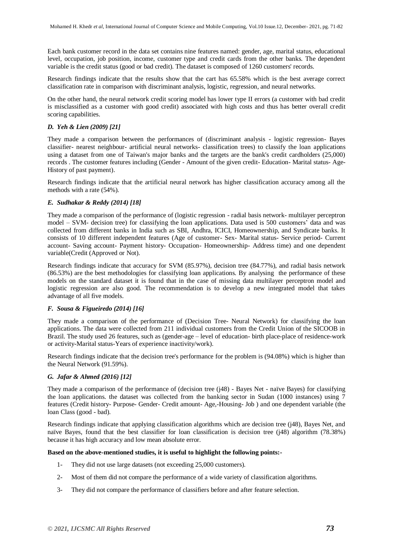Each bank customer record in the data set contains nine features named: gender, age, marital status, educational level, occupation, job position, income, customer type and credit cards from the other banks. The dependent variable is the credit status (good or bad credit). The dataset is composed of 1260 customers' records.

Research findings indicate that the results show that the cart has 65.58% which is the best average correct classification rate in comparison with discriminant analysis, logistic, regression, and neural networks.

On the other hand, the neural network credit scoring model has lower type II errors (a customer with bad credit is misclassified as a customer with good credit) associated with high costs and thus has better overall credit scoring capabilities.

#### *D. Yeh & Lien (2009) [21]*

They made a comparison between the performances of (discriminant analysis - logistic regression- Bayes classifier- nearest neighbour- artificial neural networks- classification trees) to classify the loan applications using a dataset from one of Taiwan's major banks and the targets are the bank's credit cardholders (25,000) records . The customer features including (Gender - Amount of the given credit- Education- Marital status- Age-History of past payment).

Research findings indicate that the artificial neural network has higher classification accuracy among all the methods with a rate (54%).

#### *E. Sudhakar & Reddy (2014) [18]*

They made a comparison of the performance of (logistic regression - radial basis network- multilayer perceptron model – SVM- decision tree) for classifying the loan applications. Data used is 500 customers' data and was collected from different banks in India such as SBI, Andhra, ICICI, Homeownership, and Syndicate banks. It consists of 10 different independent features (Age of customer- Sex- Marital status- Service period- Current account- Saving account- Payment history- Occupation- Homeownership- Address time) and one dependent variable(Credit (Approved or Not).

Research findings indicate that accuracy for SVM (85.97%), decision tree (84.77%), and radial basis network (86.53%) are the best methodologies for classifying loan applications. By analysing the performance of these models on the standard dataset it is found that in the case of missing data multilayer perceptron model and logistic regression are also good. The recommendation is to develop a new integrated model that takes advantage of all five models.

#### *F. Sousa & Figueiredo (2014) [16]*

They made a comparison of the performance of (Decision Tree- Neural Network) for classifying the loan applications. The data were collected from 211 individual customers from the Credit Union of the SICOOB in Brazil. The study used 26 features, such as (gender-age – level of education- birth place-place of residence-work or activity-Marital status-Years of experience inactivity/work).

Research findings indicate that the decision tree's performance for the problem is (94.08%) which is higher than the Neural Network (91.59%).

#### *G. Jafar & Ahmed (2016) [12]*

They made a comparison of the performance of (decision tree (j48) - Bayes Net - naïve Bayes) for classifying the loan applications. the dataset was collected from the banking sector in Sudan (1000 instances) using 7 features (Credit history- Purpose- Gender- Credit amount- Age,-Housing- Job ) and one dependent variable (the loan Class (good - bad).

Research findings indicate that applying classification algorithms which are decision tree (j48), Bayes Net, and naïve Bayes, found that the best classifier for loan classification is decision tree (j48) algorithm (78.38%) because it has high accuracy and low mean absolute error.

#### **Based on the above-mentioned studies, it is useful to highlight the following points:-**

- 1- They did not use large datasets (not exceeding 25,000 customers).
- 2- Most of them did not compare the performance of a wide variety of classification algorithms.
- 3- They did not compare the performance of classifiers before and after feature selection.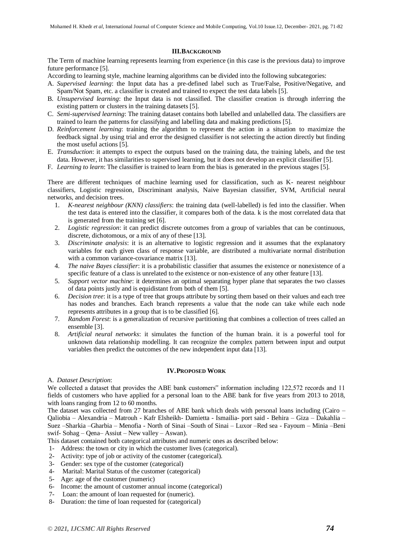#### **III.BACKGROUND**

The Term of machine learning represents learning from experience (in this case is the previous data) to improve future performance [5].

According to learning style, machine learning algorithms can be divided into the following subcategories:

- A. *Supervised learning*: the Input data has a pre-defined label such as True/False, Positive/Negative, and Spam/Not Spam, etc. a classifier is created and trained to expect the test data labels [5].
- B. *Unsupervised learning*: the Input data is not classified. The classifier creation is through inferring the existing pattern or clusters in the training datasets [5].
- C. *Semi-supervised learning*: The training dataset contains both labelled and unlabelled data. The classifiers are trained to learn the patterns for classifying and labelling data and making predictions [5].
- D. *Reinforcement learning*: training the algorithm to represent the action in a situation to maximize the feedback signal .by using trial and error the designed classifier is not selecting the action directly but finding the most useful actions [5].
- E. *Transduction*: it attempts to expect the outputs based on the training data, the training labels, and the test data. However, it has similarities to supervised learning, but it does not develop an explicit classifier [5].
- F. *Learning to learn*: The classifier is trained to learn from the bias is generated in the previous stages [5].

There are different techniques of machine learning used for classification, such as K- nearest neighbour classifiers, Logistic regression, Discriminant analysis, Naive Bayesian classifier, SVM, Artificial neural networks, and decision trees.

- 1. *K-nearest neighbour (KNN) classifiers*: the training data (well-labelled) is fed into the classifier. When the test data is entered into the classifier, it compares both of the data. k is the most correlated data that is generated from the training set [6].
- 2. *Logistic regression*: it can predict discrete outcomes from a group of variables that can be continuous, discrete, dichotomous, or a mix of any of these [13].
- 3. *Discriminate analysis*: it is an alternative to logistic regression and it assumes that the explanatory variables for each given class of response variable, are distributed a multivariate normal distribution with a common variance-covariance matrix [13].
- 4. *The naive Bayes classifier*: it is a probabilistic classifier that assumes the existence or nonexistence of a specific feature of a class is unrelated to the existence or non-existence of any other feature [13].
- 5. *Support vector machine*: it determines an optimal separating hyper plane that separates the two classes of data points justly and is equidistant from both of them [5].
- 6. *Decision tree*: it is a type of tree that groups attribute by sorting them based on their values and each tree has nodes and branches. Each branch represents a value that the node can take while each node represents attributes in a group that is to be classified [6].
- 7. *Random Forest*: is a generalization of recursive partitioning that combines a collection of trees called an ensemble [3].
- 8. *Artificial neural networks*: it simulates the function of the human brain. it is a powerful tool for unknown data relationship modelling. It can recognize the complex pattern between input and output variables then predict the outcomes of the new independent input data [13].

#### **IV.PROPOSED WORK**

#### A. *Dataset Description*:

We collected a dataset that provides the ABE bank customers" information including 122,572 records and 11 fields of customers who have applied for a personal loan to the ABE bank for five years from 2013 to 2018, with loans ranging from 12 to 60 months.

The dataset was collected from 27 branches of ABE bank which deals with personal loans including (Cairo – Qaliobia – Alexandria – Matrouh - Kafr Elsheikh- Damietta - Ismailia- port said - Behira – Giza – Dakahlia – Suez –Sharkia –Gharbia – Menofia - North of Sinai –South of Sinai – Luxor –Red sea - Fayoum – Minia –Beni swif- Sohag – Qena– Assiut – New valley – Aswan).

This dataset contained both categorical attributes and numeric ones as described below:

- 1- Address: the town or city in which the customer lives (categorical).
- 2- Activity: type of job or activity of the customer (categorical).
- 3- Gender: sex type of the customer (categorical)
- 4- Marital: Marital Status of the customer (categorical)
- 5- Age: age of the customer (numeric)
- 6- Income: the amount of customer annual income (categorical)
- 7- Loan: the amount of loan requested for (numeric).
- 8- Duration: the time of loan requested for (categorical)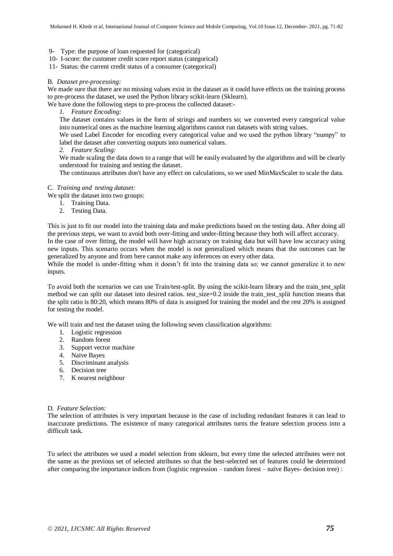- 9- Type: the purpose of loan requested for (categorical)
- 10- I-score: the customer credit score report status (categorical)
- 11- Status: the current credit status of a consumer (categorical)

#### B. *Dataset pre-processing:*

We made sure that there are no missing values exist in the dataset as it could have effects on the training process to pre-process the dataset, we used the Python library scikit-learn (Sklearn).

We have done the following steps to pre-process the collected dataset:-

*1. Feature Encoding:*

The dataset contains values in the form of strings and numbers so; we converted every categorical value into numerical ones as the machine learning algorithms cannot run datasets with string values.

We used Label Encoder for encoding every categorical value and we used the python library "numpy" to label the dataset after converting outputs into numerical values.

*2. Feature Scaling:*

We made scaling the data down to a range that will be easily evaluated by the algorithms and will be clearly understood for training and testing the dataset.

The continuous attributes don't have any effect on calculations, so we used MinMaxScaler to scale the data.

#### C. *Training and testing dataset:*

We split the dataset into two groups:

- 1. Training Data.
- 2. Testing Data.

This is just to fit our model into the training data and make predictions based on the testing data. After doing all the previous steps, we want to avoid both over-fitting and under-fitting because they both will affect accuracy. In the case of over fitting, the model will have high accuracy on training data but will have low accuracy using

new inputs. This scenario occurs when the model is not generalized which means that the outcomes can be generalized by anyone and from here cannot make any inferences on every other data.

While the model is under-fitting when it doesn't fit into the training data so; we cannot generalize it to new inputs.

To avoid both the scenarios we can use Train/test-split. By using the scikit-learn library and the train\_test\_split method we can split our dataset into desired ratios. test  $size=0.2$  inside the train test split function means that the split ratio is 80:20, which means 80% of data is assigned for training the model and the rest 20% is assigned for testing the model.

We will train and test the dataset using the following seven classification algorithms:

- 1. Logistic regression
- 2. Random forest
- 3. Support vector machine
- 4. Naïve Bayes
- 5. Discriminant analysis
- 6. Decision tree
- 7. K nearest neighbour

#### D. *Feature Selection:*

The selection of attributes is very important because in the case of including redundant features it can lead to inaccurate predictions. The existence of many categorical attributes turns the feature selection process into a difficult task.

To select the attributes we used a model selection from sklearn, but every time the selected attributes were not the same as the previous set of selected attributes so that the best-selected set of features could be determined after comparing the importance indices from (logistic regression – random forest – naïve Bayes- decision tree) :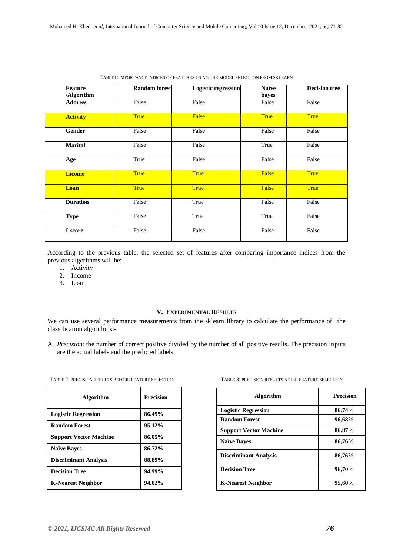| Feature<br>/Algorithm | <b>Random forest</b> | Logistic regression | <b>Naïve</b><br>bayes | <b>Decision tree</b> |
|-----------------------|----------------------|---------------------|-----------------------|----------------------|
| <b>Address</b>        | False                | False               | False                 | False                |
| <b>Activity</b>       | <b>True</b>          | False               | <b>True</b>           | <b>True</b>          |
| Gender                | False                | False               | False                 | False                |
| Marital               | False                | False               | True                  | False                |
| Age                   | True                 | False               | False                 | False                |
| <b>Income</b>         | <b>True</b>          | <b>True</b>         | False                 | <b>True</b>          |
| Loan                  | <b>True</b>          | <b>True</b>         | False                 | <b>True</b>          |
| <b>Duration</b>       | False                | True                | False                 | False                |
| <b>Type</b>           | False                | True                | True                  | False                |
| I-score               | False                | False               | False                 | False                |

TABLE1: IMPORTANCE INDICES OF FEATURES USING THE MODEL SELECTION FROM SKLEARN

According to the previous table, the selected set of features after comparing importance indices from the previous algorithms will be:

- 1. Activity
- 2. Income
- 3. Loan

#### **V. EXPERIMENTAL RESULTS**

We can use several performance measurements from the sklearn library to calculate the performance of the classification algorithms:-

A. *Precision*: the number of correct positive divided by the number of all positive results. The precision inputs are the actual labels and the predicted labels.

| <b>Algorithm</b>              | <b>Precision</b> |
|-------------------------------|------------------|
| <b>Logistic Regression</b>    | 86.49%           |
| <b>Random Forest</b>          | 95.12%           |
| <b>Support Vector Machine</b> | 86.05%           |
| <b>Naïve Baves</b>            | 86.72%           |
| <b>Discriminant Analysis</b>  | 88.89%           |
| <b>Decision Tree</b>          | 94.99%           |
| K-Nearest Neighbor            | 94.02%           |

| TABLE 2: PRECISION RESULTS BEFORE FEATURE SELECTION | TABLE 3: PRECISION RESULTS AFTER FEATURE SELECTION |
|-----------------------------------------------------|----------------------------------------------------|
|-----------------------------------------------------|----------------------------------------------------|

| TABLE 3: PRECISION RESULTS AFTER FEATURE SELECTION |
|----------------------------------------------------|
|----------------------------------------------------|

| <b>Algorithm</b>              | <b>Precision</b> |
|-------------------------------|------------------|
| <b>Logistic Regression</b>    | 86.74%           |
| <b>Random Forest</b>          | 96,68%           |
| <b>Support Vector Machine</b> | 86.87%           |
| <b>Naïve Baves</b>            | 86,76%           |
| <b>Discriminant Analysis</b>  | 86,76%           |
| <b>Decision Tree</b>          | 96,70%           |
| K-Nearest Neighbor            | 95,60%           |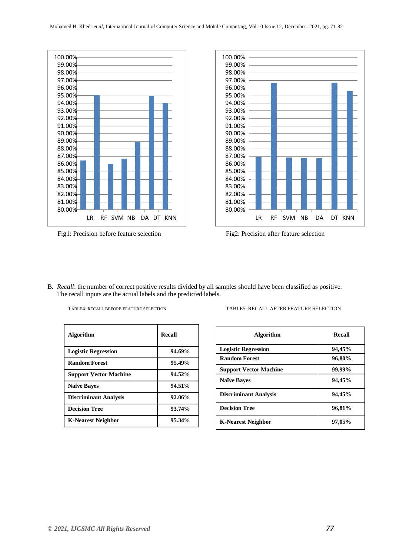





B. *Recall*: the number of correct positive results divided by all samples should have been classified as positive. The recall inputs are the actual labels and the predicted labels.

| <b>Algorithm</b>              | <b>Recall</b> |
|-------------------------------|---------------|
| <b>Logistic Regression</b>    | 94.69%        |
| <b>Random Forest</b>          | 95.49%        |
| <b>Support Vector Machine</b> | 94.52%        |
| <b>Naïve Bayes</b>            | 94.51%        |
| <b>Discriminant Analysis</b>  | 92.06%        |
| <b>Decision Tree</b>          | 93.74%        |
| K-Nearest Neighbor            | 95.34%        |

<sup>T</sup>ABLE4: RECALL BEFORE FEATURE SELECTION TABLE5: RECALL AFTER FEATURE SELECTION

| <b>Algorithm</b>              | <b>Recall</b> |
|-------------------------------|---------------|
| <b>Logistic Regression</b>    | 94,45%        |
| <b>Random Forest</b>          | 96,80%        |
| <b>Support Vector Machine</b> | 99,99%        |
| <b>Naïve Baves</b>            | 94,45%        |
| <b>Discriminant Analysis</b>  | 94,45%        |
| <b>Decision Tree</b>          | 96,81%        |
| <b>K-Nearest Neighbor</b>     | 97,05%        |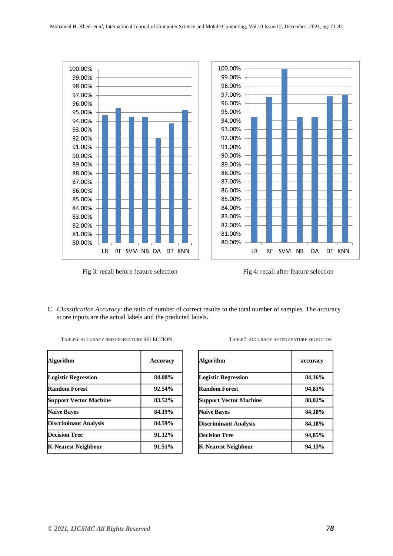

Fig 3: recall before feature selection Fig 4: recall after feature selection



C. *Classification Accuracy*: the ratio of number of correct results to the total number of samples. The accuracy score inputs are the actual labels and the predicted labels.

| Algorithm                     | <b>Accuracy</b> |
|-------------------------------|-----------------|
| <b>Logistic Regression</b>    | 84.08%          |
| <b>Random Forest</b>          | 92.54%          |
| <b>Support Vector Machine</b> | 83.52%          |
| <b>Naïve Bayes</b>            | 84.19%          |
| <b>Discriminant Analysis</b>  | 84.59%          |
| <b>Decision Tree</b>          | 91.12%          |
| <b>K-Nearest Neighbour</b>    | 91.51%          |

| TABLE6: ACCURACY BEFORE FEATURE SELECTION | TABLE7: ACCURACY AFTER FEATURE SELECTION |
|-------------------------------------------|------------------------------------------|
|                                           |                                          |

| Algorithm                     | accuracy |
|-------------------------------|----------|
| <b>Logistic Regression</b>    | 84,16%   |
| <b>Random Forest</b>          | 94,83%   |
| <b>Support Vector Machine</b> | 88,02%   |
| <b>Naïve Baves</b>            | 84,18%   |
| <b>Discriminant Analysis</b>  | 84,18%   |
| <b>Decision Tree</b>          | 94,85%   |
| K-Nearest Neighbour           | 94,13%   |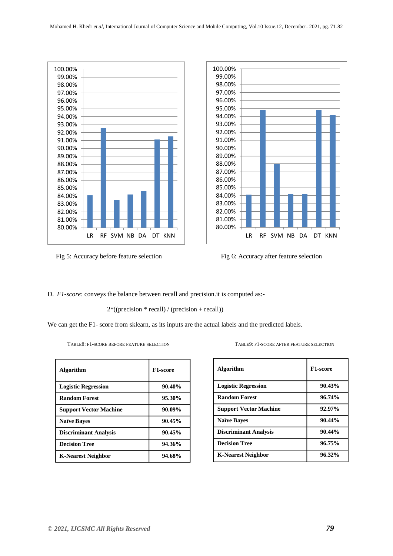

Fig 5: Accuracy before feature selection Fig 6: Accuracy after feature selection



D. *F1-score*: conveys the balance between recall and precision.it is computed as:-

2\*((precision \* recall) / (precision + recall))

We can get the F1- score from sklearn, as its inputs are the actual labels and the predicted labels.

| TABLE8: F1-SCORE BEFORE FEATURE SELECTION |  |  |
|-------------------------------------------|--|--|
|                                           |  |  |

| <b>Algorithm</b>              | F1-score  |
|-------------------------------|-----------|
| <b>Logistic Regression</b>    | $90.40\%$ |
| <b>Random Forest</b>          | 95.30%    |
| <b>Support Vector Machine</b> | 90.09%    |
| <b>Naïve Baves</b>            | 90.45%    |
| <b>Discriminant Analysis</b>  | 90.45%    |
| <b>Decision Tree</b>          | 94.36%    |
| <b>K-Nearest Neighbor</b>     | 94.68%    |

TABLE9: F1-SCORE AFTER FEATURE SELECTION

| <b>Algorithm</b>              | F1-score  |
|-------------------------------|-----------|
| <b>Logistic Regression</b>    | 90.43%    |
| <b>Random Forest</b>          | 96.74%    |
| <b>Support Vector Machine</b> | 92.97%    |
| <b>Naïve Bayes</b>            | $90.44\%$ |
| <b>Discriminant Analysis</b>  | $90.44\%$ |
| <b>Decision Tree</b>          | 96.75%    |
| <b>K-Nearest Neighbor</b>     | 96.32%    |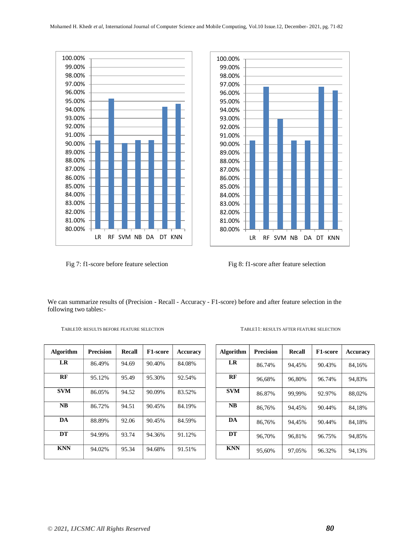



Fig 7: f1-score before feature selection Fig 8: f1-score after feature selection

We can summarize results of (Precision - Recall - Accuracy - F1-score) before and after feature selection in the following two tables:-

| Algorithm  | <b>Precision</b> | <b>Recall</b> | <b>F1-score</b> | <b>Accuracy</b> |
|------------|------------------|---------------|-----------------|-----------------|
| LR         | 86.49%           | 94.69         | 90.40%          | 84.08%          |
| RF         | 95.12%           | 95.49         | 95.30%          | 92.54%          |
| <b>SVM</b> | 86.05%           | 94.52         | 90.09%          | 83.52%          |
| <b>NB</b>  | 86.72%           | 94.51         | 90.45%          | 84.19%          |
| DA         | 88.89%           | 92.06         | 90.45%          | 84.59%          |
| DT         | 94.99%           | 93.74         | 94.36%          | 91.12%          |
| <b>KNN</b> | 94.02%           | 95.34         | 94.68%          | 91.51%          |

TABLE10: RESULTS BEFORE FEATURE SELECTION TABLE11: RESULTS AFTER FEATURE SELECTION

| <b>Algorithm</b> | <b>Precision</b> | <b>Recall</b> | <b>F1-score</b> | <b>Accuracy</b> |
|------------------|------------------|---------------|-----------------|-----------------|
| LR               | 86.74%           | 94,45%        | 90.43%          | 84,16%          |
| RF               | 96,68%           | 96,80%        | 96.74%          | 94,83%          |
| <b>SVM</b>       | 86.87%           | 99,99%        | 92.97%          | 88,02%          |
| NB               | 86,76%           | 94.45%        | 90.44%          | 84,18%          |
| DA               | 86,76%           | 94.45%        | 90.44%          | 84,18%          |
| DT               | 96,70%           | 96,81%        | 96.75%          | 94,85%          |
| <b>KNN</b>       | 95,60%           | 97,05%        | 96.32%          | 94,13%          |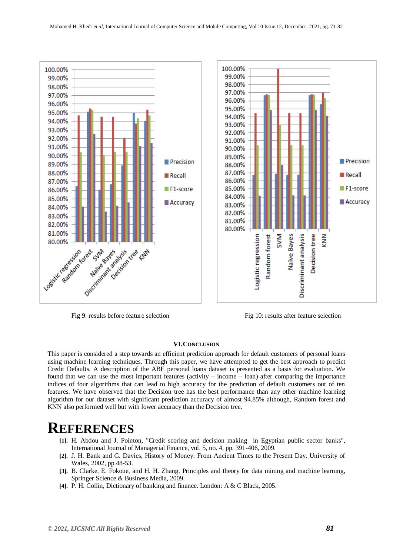

Fig 9: results before feature selection Fig 10: results after feature selection

#### **VI.CONCLUSION**

This paper is considered a step towards an efficient prediction approach for default customers of personal loans using machine learning techniques. Through this paper, we have attempted to get the best approach to predict Credit Defaults. A description of the ABE personal loans dataset is presented as a basis for evaluation. We found that we can use the most important features (activity – income – loan) after comparing the importance indices of four algorithms that can lead to high accuracy for the prediction of default customers out of ten features. We have observed that the Decision tree has the best performance than any other machine learning algorithm for our dataset with significant prediction accuracy of almost 94.85% although, Random forest and KNN also performed well but with lower accuracy than the Decision tree.

## **REFERENCES**

- **[1].** H. Abdou and J. Pointon, "Credit scoring and decision making in Egyptian public sector banks", International Journal of Managerial Finance, vol. 5, no. 4, pp. 391-406, 2009.
- **[2].** J. H. Bank and G. Davies, History of Money: From Ancient Times to the Present Day. University of Wales, 2002, pp.48-53.
- **[3].** B. Clarke, E. Fokoue, and H. H. Zhang, Principles and theory for data mining and machine learning, Springer Science & Business Media, 2009.
- **[4].** P. H. Collin, Dictionary of banking and finance. London: A & C Black, 2005.